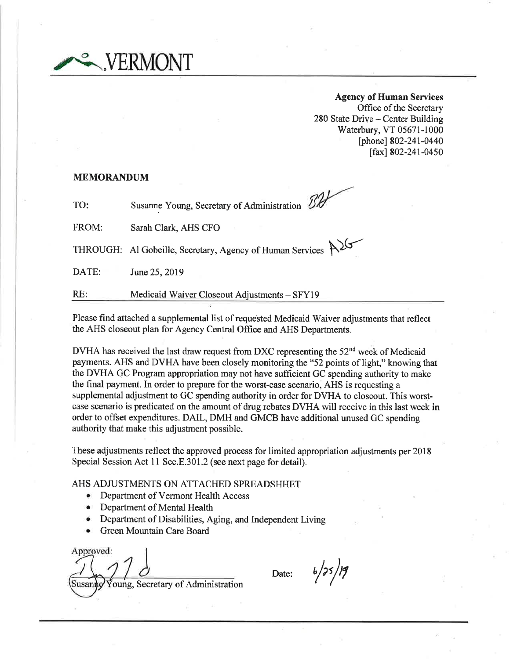

Agency of Human Services Office of the Secretary 280 State Drive - Center Building Waterbury, VT 05671-1000 [phone] 802-241-0440 [fax] 802-241-0450

#### MEMORANDUM

TO: Susanne Young, Secretary of Administration 2008

FROM: Sarah Clark, AHS CFO

THROUGH: Al Gobeille, Secretary, Agency of Human Services  $\mathcal{P}^{\mathcal{Y}}$ 

DATE: June 25, 2019

RE: Medicaid Waiver Closeout Adjustments - SFY19

Please find attached a supplemental list of requested Medicaid Waiver adjustments that reflect the AHS closeout plan for Agency Central Offrce and AHS Departments.

DVHA has received the last draw request from DXC representing the  $52<sup>nd</sup>$  week of Medicaid payments. AHS and DVHA have been closely monitoring the"52 points of light," knowing that the DVHA GC Program appropriation may not have sufficient GC spending authority to make the final payment. In order to prepare for the worst-case scenario, AHS is requesting a supplemental adjustment to GC spending authority in order for DVHA to closeout. This worstcase scenario is predicated on the amount of drug rebates DVHA will receive in this last week in order to offset expenditures. DAIL, DMH and GMCB have additional unused GC spending authority that make this adjustment possible.

These adjustments reflect the approved process for limited appropriation adjustments per 2018 Special Session Act 11 Sec.E.301.2 (see next page for detail).

### AHS ADJUSTMENTS ON ATTACHED SPREADSHHET

- o Department of Vermont Health Access
- Department of Mental Health
- Department of Disabilities, Aging, and Independent Living
- Green Mountain Care Board

Approved: Susanno Young, Secretary of Administration

Date:  $b/35/19$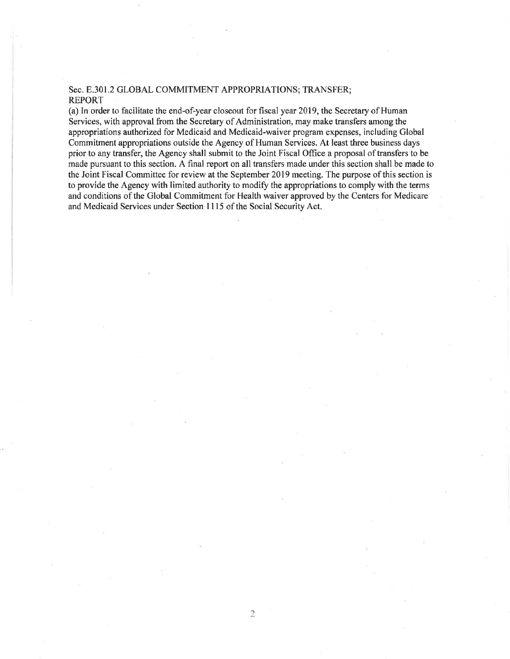# Sec. E.301.2 GLOBAL COMMITMENT APPROPRIATIONS; TRANSFER; REPORT

(a) In order to facilitate the end-of-year closeout for fiscal year 2019, the Secretary of Human Services, with approval from the Secretary of Administration, may make transfers among the appropriations authorized for Medicaid and Medicaid-waiver program expenses, including Global Commitment appropriations outside the Agency of Human Services. At least three business days prior to any transfer, the Agency shall submit to the Joint Fiscal Office a proposal of transfers to be made pursuant to this section. A final report on all transfers made under this section shall be made to thc Joint Fiscal Committee for review at the September 2019 meeting. The purpose of this section is to provide the Agency with limited authority to modify the appropriations to comply with the terms and conditions of the Global Commitment for Health waiver approved by the Centers for Medicare and Medicaid Services under Section 1115 of the Social Security Act.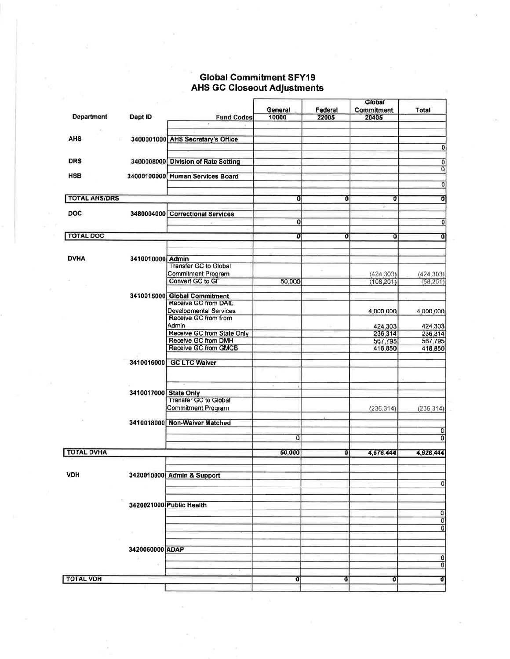# Global Commitment SFY19<br>AHS GC Closeout Adjustments

|                      |                       |                                     | General  | Federal | Giobal<br><b>Commitment</b> | Total                     |
|----------------------|-----------------------|-------------------------------------|----------|---------|-----------------------------|---------------------------|
| <b>Department</b>    | Dept ID               | <b>Fund Codes</b>                   | 10000    | 22005   | 20405                       |                           |
|                      |                       |                                     |          |         |                             |                           |
| AHS                  |                       | 3400001000 AHS Secretary's Office   |          |         |                             |                           |
|                      |                       |                                     |          |         |                             | $\overline{0}$            |
| <b>DRS</b>           |                       | 3400008000 Division of Rate Setting |          |         |                             | $\overline{0}$            |
|                      |                       |                                     |          |         |                             | $\overline{0}$            |
| <b>HSB</b>           |                       | 34000100000 Human Services Board    |          |         |                             |                           |
|                      |                       |                                     |          |         |                             | 0                         |
| <b>TOTAL AHS/DRS</b> |                       |                                     | 0l       | O       | Ū                           | Ō                         |
| <b>DOC</b>           |                       |                                     |          |         | ×                           |                           |
|                      |                       | 3480004000 Correctional Services    | 0        |         |                             | $\overline{0}$            |
|                      |                       |                                     |          |         |                             |                           |
| <b>TOTAL DOC</b>     |                       |                                     | οı       | 01      | Ū                           | δ                         |
|                      |                       |                                     |          |         |                             |                           |
| <b>DVHA</b>          | 3410010000 Admin      |                                     |          |         |                             |                           |
|                      |                       | <b>Transfer GC to Global</b>        |          |         |                             |                           |
|                      |                       | Commitment Program                  |          |         | (424.303)                   | (424, 303)                |
|                      |                       | Convert GC to GF                    | 50,000   |         | (108, 201)                  | (58, 201)                 |
|                      |                       | 3410015000 Global Commitment        |          |         |                             |                           |
|                      |                       | Receive GC from DAIL                |          |         |                             |                           |
|                      |                       | Developmental Services              |          |         | 4,000,000                   | 4,000,000                 |
|                      |                       | Receive GC from from                |          |         |                             |                           |
|                      |                       | Admin<br>Receive GC from State Only |          |         | 424,303                     | 424,303                   |
|                      |                       | Receive GC from DMH                 |          |         | 236,314<br>567,795          | 236,314<br>567,795        |
|                      |                       | Receive GC from GMCB                |          |         | 418,850                     | 418,850                   |
|                      |                       |                                     |          |         |                             |                           |
|                      | 3410016000            | <b>GC LTC Waiver</b>                |          |         |                             |                           |
|                      |                       |                                     |          |         |                             |                           |
|                      |                       |                                     |          |         |                             |                           |
|                      | 3410017000 State Only |                                     |          |         |                             |                           |
|                      |                       | <b>Transfer GC to Global</b>        |          |         |                             |                           |
|                      |                       | Commitment Program                  |          |         | (236, 314)                  | (236.314)                 |
|                      |                       | 3410018000 Non-Waiver Matched       |          |         |                             |                           |
|                      |                       |                                     |          |         |                             | 0                         |
|                      |                       |                                     | $\Omega$ |         |                             | 0                         |
| <b>TOTAL DVHA</b>    |                       |                                     | 50,000   |         |                             |                           |
|                      |                       |                                     |          | οı      | 4,878,444                   | 4,928,444                 |
|                      |                       |                                     |          |         |                             |                           |
| <b>VDH</b>           |                       | 3420010000 Admin & Support          |          |         |                             |                           |
|                      |                       |                                     |          |         |                             | $\overline{0}$            |
|                      |                       |                                     |          |         |                             |                           |
|                      |                       | 3420021000 Public Health            |          |         |                             |                           |
|                      |                       |                                     |          |         |                             |                           |
|                      |                       |                                     |          |         |                             | $\frac{1}{2}$             |
|                      | $\sim$                |                                     |          |         |                             |                           |
|                      |                       |                                     |          |         |                             |                           |
|                      | 3420060000 ADAP       |                                     |          |         |                             |                           |
|                      |                       |                                     |          |         |                             | 0                         |
|                      |                       |                                     |          |         |                             | $\overline{\mathfrak{o}}$ |
| <b>TOTAL VDH</b>     |                       |                                     | Û        | Û       | Û                           | Ō                         |
|                      |                       |                                     |          |         |                             |                           |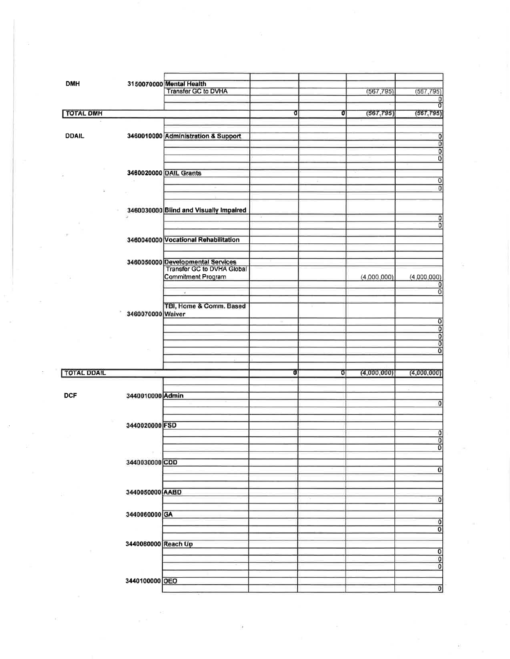| <b>DMH</b>         |                     | 3150070000 Mental Health               |    |   |             |                           |
|--------------------|---------------------|----------------------------------------|----|---|-------------|---------------------------|
|                    |                     | Transfer GC to DVHA                    |    |   | (567, 795)  | (567, 795)                |
|                    |                     |                                        |    |   |             | 0                         |
|                    |                     |                                        |    |   |             | তা                        |
| <b>TOTAL DMH</b>   |                     |                                        | o  | Ū | (567, 795)  | (567, 795)                |
|                    |                     |                                        |    |   |             |                           |
|                    |                     |                                        |    |   |             |                           |
|                    |                     |                                        |    |   |             |                           |
| <b>DDAIL</b>       |                     | 3460010000 Administration & Support    |    |   |             | 0                         |
|                    |                     |                                        |    |   |             | $\overline{0}$            |
|                    |                     |                                        |    |   |             | Ō                         |
|                    |                     |                                        |    |   |             | 0                         |
|                    |                     |                                        |    |   |             |                           |
|                    |                     |                                        |    |   |             |                           |
|                    |                     | 3460020000 DAIL Grants                 |    |   |             |                           |
|                    |                     |                                        |    |   |             | $\overline{0}$            |
|                    |                     |                                        |    |   |             | $\overline{0}$            |
|                    |                     |                                        |    |   |             |                           |
|                    |                     |                                        |    |   |             |                           |
|                    |                     |                                        |    |   |             |                           |
|                    |                     | 3460030000 Blind and Visually Impaired |    |   |             |                           |
|                    |                     |                                        |    |   |             | 0                         |
|                    |                     |                                        |    |   |             | $\overline{0}$            |
|                    |                     |                                        |    |   |             |                           |
| o.                 |                     | 3460040000 Vocational Rehabilitation   |    |   |             |                           |
|                    |                     |                                        |    |   |             |                           |
|                    |                     |                                        |    |   |             |                           |
|                    |                     |                                        |    |   |             |                           |
|                    |                     | 3460050000 Developmental Services      |    |   |             |                           |
|                    |                     | Transfer GC to DVHA Global             |    |   |             |                           |
|                    |                     | <b>Commitment Program</b>              |    |   |             |                           |
|                    |                     |                                        |    |   | (4,000,000) | (4.000, 000)              |
|                    |                     |                                        |    |   |             | 0                         |
|                    |                     | $\overline{\mathcal{F}}$               |    |   |             | $\overline{0}$            |
|                    |                     |                                        |    |   |             |                           |
|                    |                     | TBI, Home & Comm. Based                |    |   |             |                           |
|                    |                     |                                        |    |   |             |                           |
|                    | 3460070000 Waiver   |                                        |    |   |             |                           |
|                    |                     |                                        |    |   |             | $\overline{0}$            |
|                    |                     |                                        |    |   |             | $\overline{0}$            |
|                    |                     |                                        |    |   |             | $\overline{\mathfrak{o}}$ |
|                    |                     |                                        |    |   |             | $\overline{0}$            |
|                    |                     |                                        |    |   |             |                           |
|                    |                     |                                        |    |   |             | $\overline{\mathfrak{o}}$ |
|                    |                     |                                        |    |   |             |                           |
|                    |                     |                                        |    |   |             |                           |
| <b>TOTAL DDAIL</b> |                     |                                        | σı | Ō | (4,000,000) | (4,000,000)               |
|                    |                     |                                        |    |   |             |                           |
|                    |                     |                                        |    |   |             |                           |
|                    |                     |                                        |    |   |             |                           |
| <b>DCF</b>         | 3440010000 Admin    |                                        |    |   |             |                           |
|                    |                     |                                        |    |   |             | $\bf{0}$                  |
|                    |                     |                                        |    |   |             |                           |
|                    |                     |                                        |    |   |             |                           |
|                    |                     |                                        |    |   |             |                           |
|                    | 3440020000 FSD      |                                        |    |   |             |                           |
|                    |                     |                                        |    |   |             | $\overline{0}$            |
|                    |                     |                                        |    |   |             | $\overline{\mathfrak{o}}$ |
|                    |                     |                                        |    |   |             | $\overline{\mathfrak{o}}$ |
|                    |                     |                                        |    |   |             |                           |
|                    |                     |                                        |    |   |             |                           |
|                    | 3440030000 CDD      |                                        |    |   |             |                           |
|                    |                     |                                        |    |   |             | $\overline{0}$            |
|                    |                     |                                        |    |   |             |                           |
|                    |                     |                                        |    |   |             |                           |
|                    | 3440050000 AABD     |                                        |    |   |             |                           |
|                    |                     |                                        |    |   |             |                           |
|                    |                     |                                        |    |   |             | $\overline{0}$            |
|                    |                     |                                        |    |   |             |                           |
|                    | 3440060000 GA       |                                        |    |   |             |                           |
|                    |                     |                                        |    |   |             | $\overline{0}$            |
|                    |                     |                                        |    |   |             |                           |
|                    |                     |                                        |    |   |             | $\overline{\mathfrak{o}}$ |
|                    |                     |                                        |    |   |             |                           |
|                    | 3440080000 Reach Up |                                        |    |   |             |                           |
|                    |                     |                                        |    |   |             |                           |
|                    |                     |                                        |    |   |             |                           |
|                    |                     |                                        |    |   |             | 0 <sub>o</sub>            |
|                    |                     |                                        |    |   |             |                           |
|                    |                     |                                        |    |   |             |                           |
|                    | 3440100000 OEO      |                                        |    |   |             |                           |
|                    |                     |                                        |    |   |             | $\overline{0}$            |
|                    |                     |                                        |    |   |             |                           |

 $\bar{\epsilon}$ 

 $\frac{1}{\sqrt{2}}\left( \frac{1}{\sqrt{2}}\right) ^{2}+\frac{1}{\sqrt{2}}\left( \frac{1}{\sqrt{2}}\right) ^{2}+\frac{1}{\sqrt{2}}\left( \frac{1}{\sqrt{2}}\right) ^{2}+\frac{1}{\sqrt{2}}\left( \frac{1}{\sqrt{2}}\right) ^{2}+\frac{1}{\sqrt{2}}\left( \frac{1}{\sqrt{2}}\right) ^{2}+\frac{1}{\sqrt{2}}\left( \frac{1}{\sqrt{2}}\right) ^{2}+\frac{1}{\sqrt{2}}\left( \frac{1}{\sqrt{2}}\right) ^{2}+\frac{1}{\sqrt{2}}$ 

 $\mathbb{Q}$  .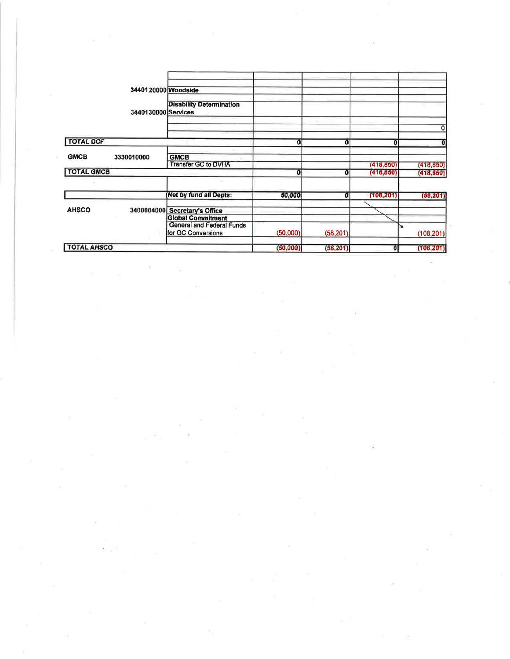|                            | 3440120000 Woodside                                    |           |           |            |            |
|----------------------------|--------------------------------------------------------|-----------|-----------|------------|------------|
|                            | <b>Disability Determination</b><br>3440130000 Services |           |           |            |            |
|                            |                                                        |           |           |            | 0          |
| <b>TOTAL DCF</b>           |                                                        | Ũ         | Ū         | o          |            |
| <b>GMCB</b><br>3330010000  | <b>GMCB</b><br>Transfer GC to DVHA                     |           |           | (418, 850) | (418, 850) |
| <b>TOTAL GMCB</b>          |                                                        | Ō         |           | (418, 850) | (418, 850) |
|                            | Net by fund all Depts:                                 | 50,000    | āl        | (108, 201) | (58, 201)  |
| <b>AHSCO</b><br>3400004000 | <b>Secretary's Office</b><br><b>Global Commitment</b>  |           |           |            |            |
|                            | General and Federal Funds<br>for GC Conversions        | (50.000)  | (58.201)  |            | (108.201)  |
| <b>TOTAL AHSCO</b>         |                                                        | (50, 000) | (58, 201) | 0          | (108, 201) |

 $\label{eq:R} \mathbf{x} = \left[ \begin{array}{cc} \mathbf{x} & \mathbf{0} & \mathbf{0} & \mathbf{0} \\ \mathbf{x} & \mathbf{0} & \mathbf{0} & \mathbf{0} \end{array} \right]$ 

 $\label{eq:K} \begin{array}{lllll} \mathbf{a} & & & & \\ \mathbf{a} & & & \\ \mathbf{a} & & & \\ \mathbf{a} & & & \\ \mathbf{a} & & & \\ \mathbf{a} & & & \\ \mathbf{a} & & & \\ \mathbf{a} & & & \\ \mathbf{a} & & & \\ \mathbf{a} & & & \\ \mathbf{a} & & & \\ \mathbf{a} & & & \\ \mathbf{a} & & & \\ \mathbf{a} & & & \\ \mathbf{a} & & & \\ \mathbf{a} & & & \\ \mathbf{a} & & & \\ \mathbf{a} & & & \\ \mathbf{a} & & & \\ \mathbf{a} & & & \\ \mathbf$ 

 $\label{eq:2.1} \frac{1}{\sqrt{2}}\sum_{i=1}^{n-1}\frac{1}{\sqrt{2}}\sum_{i=1}^{n-1}\frac{1}{\sqrt{2}}\sum_{i=1}^{n-1}\frac{1}{\sqrt{2}}\sum_{i=1}^{n-1}\frac{1}{\sqrt{2}}\sum_{i=1}^{n-1}\frac{1}{\sqrt{2}}\sum_{i=1}^{n-1}\frac{1}{\sqrt{2}}\sum_{i=1}^{n-1}\frac{1}{\sqrt{2}}\sum_{i=1}^{n-1}\frac{1}{\sqrt{2}}\sum_{i=1}^{n-1}\frac{1}{\sqrt{2}}\sum_{i=1}^{n-1}\$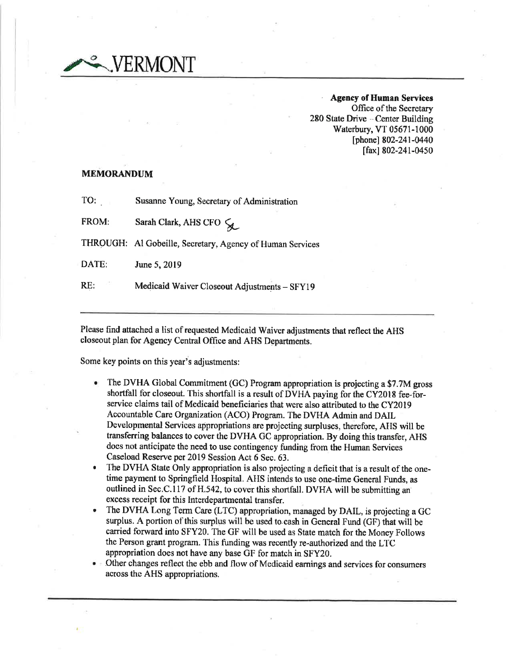/FRMONT

. Agency of Human Services Office of the Secretary 280 State Drive - Center Building Waterbury, VT 05671-1000 [phone] 802-241-0440 [fax] 802-241-0450

# MEMORANDUM

TO: Susanne Young, Secretary of Administration

FROM: Sarah Clark, AHS CFO  $\zeta_L$ 

THROUGH: Al Gobeille, Secretary, Agency of Human Services

DATE: June 5,2019

RE: Medicaid Waiver Closeout Adjustments - SFY19

Please find attached a list of requested Medicaid Waiver adjustments that reflect the AHS closeout plan for Agency Central Office and AHS Departments.

Some key points on this year's adjustments:

- The DVHA Global Commitment (GC) Program appropriation is projecting a \$7.7M gross shortfall for closeout. This shortfall is a result of DVHA paying for the CY2018 fee-forservice claims tail of Medicaid beneficiaries that were also attributed to the CY20l9 Accountable Care Organization (ACO) Prograrn. The DVHA Admin and DAIL Developmental Services appropriations are projecting surpluses, therefore, AHS will be transfering balances to cover the DVHA GC appropriation. By doing this transfer, AHS does not anticipate the need to use contingency funding from the Human Services Caseload Reserve per 2019 Session Act 6 Sec. 63. a
- The DVHA State Only appropriation is also projecting a deficit that is a result of the onetime payment to Springfield Hospital. AIIS intends to use one-time General Funds, as outlined in Sec.C.117 of H.542, to cover this shortfall. DVHA will be submitting an excess receipt for this Interdepartmental transfer. a
- The DVHA Long Term care (LTC) appropriation, managed by DAIL, is projecting a GC surplus. A portion of this surplus will be used to.cash in General Fund (GF) that will be carried forward into SFY20. The GF will be used as State match for the Money Follows the Person grant program. This funding was recently re-authorized and the LTC appropriation does not have any base GF for match in SFY20. a
- Other changes reflect the ebb and flow of Medicaid earnings and services for consumers across the AHS appropriations.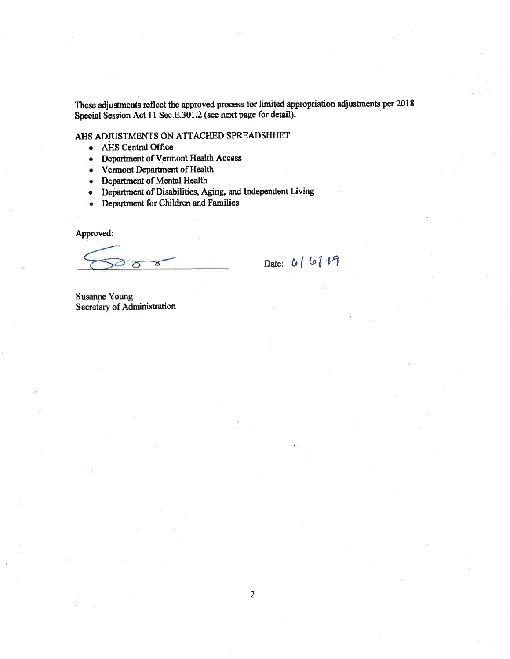These adjustments reflect the approved process for limited appropriation adjustments per 2018 Special Session Act 11 Sec.E.301.2 (see next page for detail).

AHS ADJUSTMENTS ON ATTACHED SPREADSHHET

- AHS Central Office
- Department of Vermont Health Access
- Vermont Department of Health
- Department of Mental Health
- Department of Disabilities, Aging, and Independent Living
- Department for Children and Families

Approved:

Date: 6/6/19

**Susanne Young** Secretary of Administration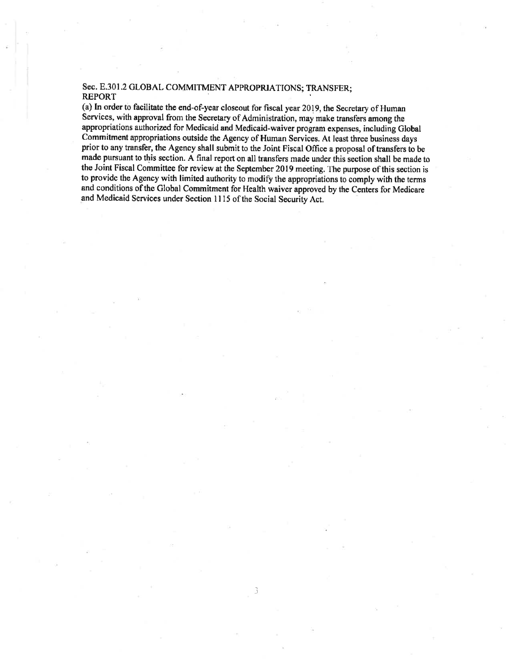# Sec. E.301.2 GLOBAL COMMITMENT APPROPRJATIONS; TRANSFER; REPORT

(a) In order to facilitate the end-of-year closeout for fiscal year 2019, the Secretary of Human Services, with approval from the Secretary of Administration, may make transfers among the appropriations authorized for Medicaid and Medicaid-waiver program oxpenses, including Global Commitment appropriations outside the Agency of Human Services. At least three business days prior to any transfer, the Agency shall submit to the Joint Fiscal Office a proposal of transfers to be made pursuant to this section. A final report on all transfers made under this section shall be made to the Joint Fiscal Committee for review at the September 2019 meeting. 1'he purpose of this section is to provide the Agency with limited authority to modify the appropriations to comply with the terms and conditions of the Global Commitment for Health waiver approved by the Centers for Medicare and Medicaid Services under Section 1115 of the Social Security Act.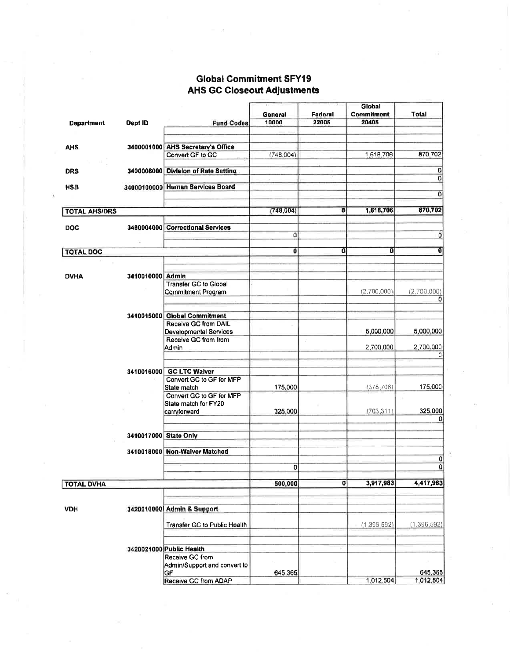# **Global Commitment SFY19 AHS GC Closeout Adjustments**

j.

|                      |                       |                                     |                         |              | GIODAI      |                         |
|----------------------|-----------------------|-------------------------------------|-------------------------|--------------|-------------|-------------------------|
|                      |                       |                                     | General                 | Federal      | Commitment  | Total                   |
| <b>Department</b>    | Dept ID               | <b>Fund Codes</b>                   | 10000                   | 22005        | 20405       |                         |
|                      |                       |                                     |                         |              |             |                         |
|                      |                       | 3400001000 AHS Secretary's Office   |                         |              |             |                         |
| <b>AHS</b>           |                       |                                     |                         |              | 1,618,706   | 870,702                 |
|                      |                       | Convert GF to GC                    | (748.004)               |              |             |                         |
| <b>DRS</b>           |                       | 3400008000 Division of Rate Setting |                         |              |             | 0<br>O                  |
| <b>HSB</b>           |                       | 34000100000 Human Services Board    |                         |              |             |                         |
|                      |                       |                                     |                         |              |             | $\overline{\mathbf{0}}$ |
|                      |                       |                                     |                         |              |             |                         |
| <b>TOTAL AHS/DRS</b> |                       |                                     | (748,004)               | $\mathbf{0}$ | 1,618,706   | 870,702                 |
|                      |                       | <b>Correctional Services</b>        |                         |              |             |                         |
| <b>DOC</b>           | 3480004000            |                                     | 0                       |              |             | 0                       |
|                      |                       |                                     |                         |              |             |                         |
| <b>TOTAL DOC</b>     |                       |                                     | $\overline{\mathbf{0}}$ | $\mathbf{0}$ | 0           | 0                       |
|                      |                       |                                     |                         |              |             |                         |
|                      |                       |                                     |                         |              |             |                         |
| <b>DVHA</b>          | 3410010000 Admin      |                                     |                         |              |             |                         |
|                      |                       | Transfer GC to Global               |                         |              |             |                         |
|                      |                       | <b>Commitment Program</b>           |                         |              | (2,700,000) | (2,700,000)<br>0        |
|                      |                       |                                     |                         |              |             |                         |
|                      |                       | 3410015000 Global Commitment        |                         |              |             |                         |
|                      |                       | Receive GC from DAIL                |                         |              |             |                         |
|                      |                       | Developmental Services              |                         |              | 5,000,000   | 5,000,000               |
|                      |                       | Receive GC from from                |                         |              |             |                         |
|                      |                       | Admin                               |                         |              | 2,700,000   | 2,700,000               |
|                      |                       |                                     |                         |              |             | 0                       |
|                      |                       |                                     |                         |              |             |                         |
|                      | 3410016000            | <b>GC LTC Walver</b>                |                         |              |             |                         |
|                      |                       | Convert GC to GF for MFP            |                         |              |             |                         |
|                      |                       | State match                         | 175,000                 |              | (378, 706)  | 175,000                 |
|                      |                       | Convert GC to GF for MFP            |                         |              |             |                         |
|                      |                       | State match for FY20                |                         |              |             |                         |
|                      |                       | carryforward                        | 325,000                 |              | (703.311)   | 325,000<br>o            |
|                      |                       |                                     |                         |              |             |                         |
|                      | 3410017000 State Only |                                     |                         |              |             |                         |
|                      |                       |                                     |                         |              |             |                         |
|                      |                       | 3410018000 Non-Waiver Matched       |                         |              |             |                         |
|                      |                       |                                     |                         |              |             | 0                       |
|                      |                       |                                     | $\mathbf 0$             |              |             | $\Omega$                |
|                      |                       |                                     |                         |              |             |                         |
| <b>TOTAL DVHA</b>    |                       |                                     | 500,000                 | $\mathbf{Q}$ | 3,917,983   | 4,417,983               |
|                      |                       |                                     |                         |              |             |                         |
| <b>VDH</b>           |                       | 3420010000 Admin & Support          |                         |              |             |                         |
|                      |                       |                                     |                         |              |             |                         |
|                      |                       | Transfer GC to Public Health        |                         |              | (1.396.592) | (1,396,592)             |
|                      |                       |                                     |                         |              |             |                         |
|                      |                       |                                     |                         |              |             |                         |
|                      |                       | 3420021000 Public Health            |                         |              |             |                         |
|                      |                       | Receive GC from                     |                         |              |             |                         |
|                      |                       | Admin/Support and convert to        |                         |              |             |                         |
|                      |                       | GF                                  | 645,365                 |              |             | 645,365                 |
|                      |                       | Receive GC from ADAP                |                         |              | 1.012.504   | 1.012.504               |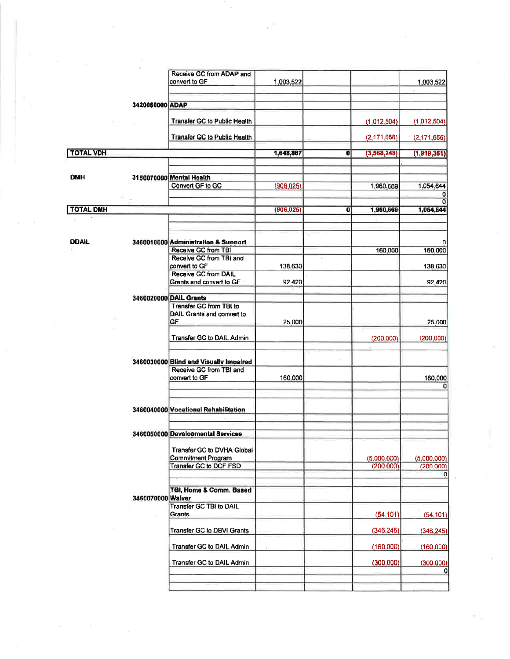|                  |                   | Receive GC from ADAP and                                          |            |   |                          |                            |
|------------------|-------------------|-------------------------------------------------------------------|------------|---|--------------------------|----------------------------|
|                  |                   | convert to GF                                                     | 1,003,522  |   |                          | 1,003,522                  |
|                  |                   |                                                                   |            |   |                          |                            |
|                  | 3420060000 ADAP   |                                                                   |            |   |                          |                            |
|                  |                   | <b>Transfer GC to Public Health</b>                               |            |   | (1.012,504)              | (1,012,504)                |
|                  |                   | <b>Transfer GC to Public Health</b>                               |            |   | (2.171.656)              | (2.171.656)                |
|                  |                   |                                                                   |            |   |                          |                            |
| <b>TOTAL VDH</b> |                   |                                                                   | 1,648,807  | O | (3,568,248)              | (1,919,361)                |
|                  |                   |                                                                   |            |   |                          |                            |
| <b>DMH</b>       |                   | 3150070000 Mental Health                                          |            |   |                          |                            |
|                  |                   | Convert GF to GC                                                  | (906, 025) |   | 1,960,669                | 1,054,644                  |
| <b>TOTAL DMH</b> |                   |                                                                   |            |   |                          |                            |
|                  |                   |                                                                   | (906, 025) | 0 | 1,960,669                | 1,054,644                  |
|                  |                   |                                                                   |            |   |                          |                            |
| <b>DDAIL</b>     |                   | 3460010000 Administration & Support                               |            |   |                          |                            |
|                  |                   | Receive GC from TBI                                               |            |   | 160,000                  | 160,000                    |
|                  |                   | Receive GC from TBI and<br>convert to GF                          | 138,630    |   |                          | 138,630                    |
|                  |                   | Receive GC from DAIL                                              |            |   |                          |                            |
|                  |                   | Grants and convert to GF                                          | 92,420     |   |                          | 92,420                     |
|                  |                   | 3460020000 DAIL Grants                                            |            |   |                          |                            |
|                  |                   | <b>Transfer GC from TBI to</b><br>DAIL Grants and convert to      |            |   |                          |                            |
|                  |                   | GF.                                                               | 25,000     |   |                          | 25,000                     |
|                  |                   | <b>Transfer GC to DAIL Admin</b>                                  |            |   |                          |                            |
|                  |                   |                                                                   |            |   | (200,000)                | (200.000)                  |
|                  |                   |                                                                   |            |   |                          |                            |
|                  |                   | 3460030000 Blind and Visually Impaired<br>Receive GC from TBI and |            |   |                          |                            |
|                  |                   | convert to GF                                                     | 160,000    |   |                          | 160,000                    |
|                  |                   |                                                                   |            |   |                          | $\Omega$                   |
|                  |                   |                                                                   |            |   |                          |                            |
|                  |                   | 3460040000 Vocational Rehabilitation                              |            |   |                          |                            |
|                  |                   |                                                                   |            |   |                          |                            |
|                  |                   | 3460050000 Developmental Services                                 |            |   |                          |                            |
|                  |                   | Transfer GC to DVHA Global                                        |            |   |                          |                            |
|                  |                   | Commitment Program<br>Transfer GC to DCF FSD                      |            |   | (5,000,000)<br>(200.000) | (5.000, 000)<br>(200, 000) |
|                  |                   |                                                                   |            |   |                          | 0                          |
|                  |                   | TBI, Home & Comm. Based                                           |            |   |                          |                            |
|                  | 3460070000 Waiver |                                                                   |            |   |                          |                            |
|                  |                   | Transfer GC TBI to DAIL<br>Grants                                 |            |   | (54.101)                 | (54, 101)                  |
|                  |                   |                                                                   |            |   |                          |                            |
|                  |                   | <b>Transfer GC to DBVI Grants</b>                                 |            |   | (346.245)                | (346, 245)                 |
|                  |                   | Transfer GC to DAIL Admin                                         |            |   | (160.000)                | (160.000)                  |
|                  |                   | Transfer GC to DAIL Admin                                         |            |   | (300.000)                | (300.000)                  |

R.